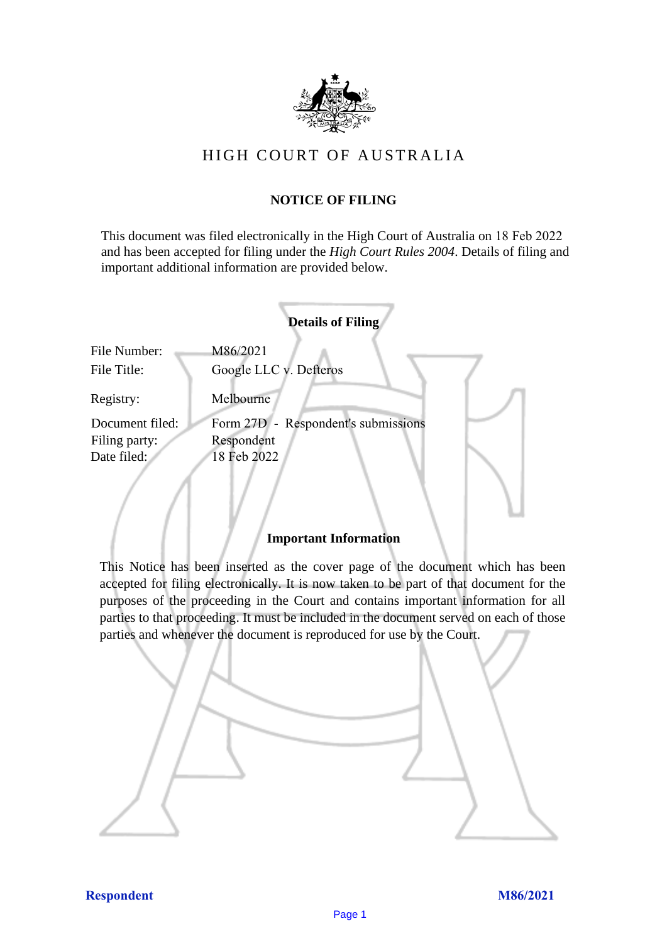

# HIGH COURT OF AU STRALIA HIGH COURT OF AUSTRALIA

### **NOTICE OF FILING** NOTICE OF FILING

This document was filed electronically in the High Court of Australia on 18 Feb 2022 This document was filed electronically in the High Court of Australia <sup>12</sup> and has been accepted for filing under the *High Court Rules 2004*. Details of filing and important additional information are provided below. important additional information are provided below.

|                             | <b>Details of Filing</b>            |
|-----------------------------|-------------------------------------|
| File Number:<br>File Title: | M86/2021<br>Google LLC v. Defteros  |
| Registry:                   | Melbourne                           |
| Document filed:             | Form 27D - Respondent's submissions |
| Filing party:               | Respondent                          |
| Date filed:                 | 18 Feb 2022                         |
|                             |                                     |

#### **Important Information** Important Information

This Notice has been inserted as the cover page of the document which has been accepted for filing electronically. It is now taken to be part of that document for the purposes of the proceeding in the Court and contains important information for all parties to that proceeding. It must be included in the document served on each of those parties and whenever the document is reproduced for use by the Court. parties and whenever the document is reproduced for use by the Court

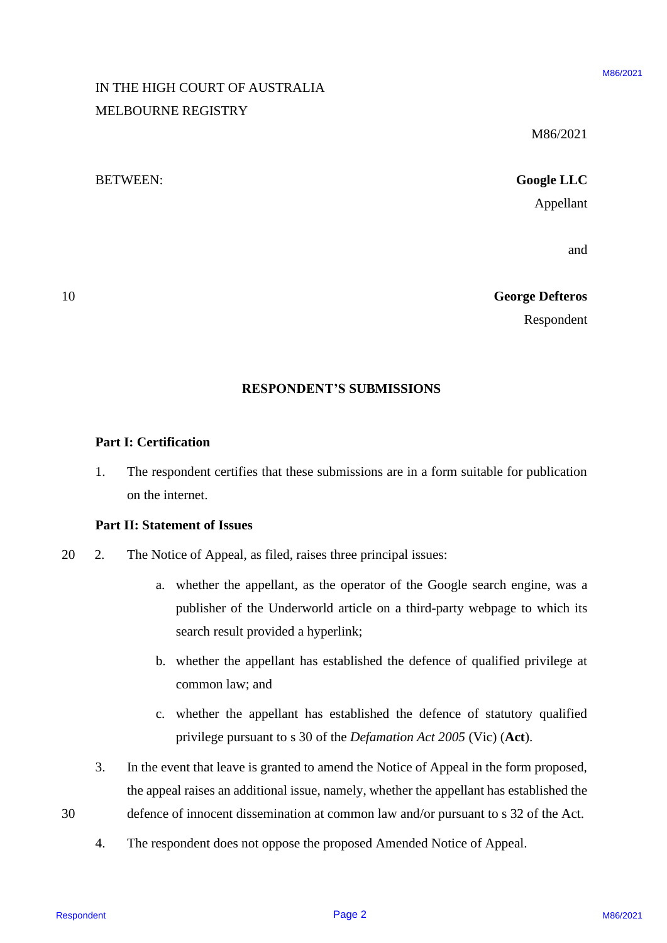# IN THE HIGH COURT OF AUSTRALIA IN THE HIGH COURT OF AUSTRALIA MELBOURNE REGISTRY MELBOURNE REGISTRY

M86/2021

M86/2021 M86/2021

# BETWEEN: **Google LLC** BETWEEN: Google LLC

Appellant Appellant

and and

#### 10 **George Defteros** 10 George Defteros

Respondent Respondent

#### **RESPONDENT'S SUBMISSIONS** RESPONDENT'S SUBMISSIONS

#### **Part I: Certification**  Part I: Certification

1. The respondent certifies that these submissions are in a form suitable for publication on the internet. on the internet.

#### **Part II: Statement of Issues**  Part II: Statement of Issues

- 20 2. The Notice of Appeal, as filed, raises three principal issues: 20 2. The Notice of Appeal, as filed, raises three principal issues:
- a. whether the appellant, as the operator of the Google search engine, was a a. whether the appellant, as the operator of the Google search engine, was <sup>a</sup> publisher of the Underworld article on a third-party webpage to which its publisher of the Underworld article on a third-party webpage to which its search result provided a hyperlink; search result provided <sup>a</sup> hyperlink; RESPONDENT OF AUSTRALIA<br>
MELISOURNE REGISTRY<br>
MELISOURNE REGISTRY<br>
MELISOURNE REGISTRY<br>
Couple LLC<br>
Ampletant<br>
and<br>
respondent<br>
RESPONDENT'S SUBMISSIONS<br>
Part I: Certification<br>
1. The respondent certifies that these subtr
	- b. whether the appellant has established the defence of qualified privilege at b. whether the appellant has established the defence of qualified privilege at common law; and
	- common law; and<br>c. whether the appellant has established the defence of statutory qualified privilege pursuant to s 30 of the *Defamation Act 2005* (Vic) (**Act**). privilege pursuant to <sup>s</sup> 30 of the Defamation Act 2005 (Vic) (Act).
	- 3. In the event that leave is granted to amend the Notice of Appeal in the form proposed, 3. Inthe event that leave is granted to amend the Notice of Appeal in the form proposed, the appeal raises an additional issue, namely, whether the appellant has established the the appeal raises an additional issue, namely, whether the appellant has established the
- 30 defence of innocent dissemination at common law and/or pursuant to s 32 of the Act.
	- 4. The respondent does not oppose the proposed Amended Notice of Appeal. 4. The respondent does not oppose the proposed Amended Notice of Appeal.

Respondent **Page 2**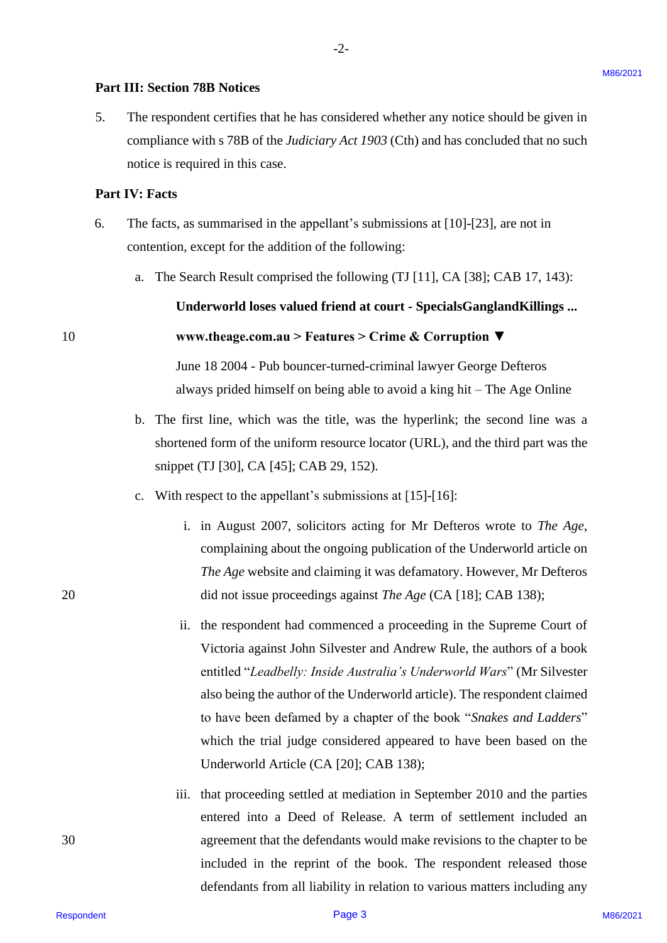#### **Part III: Section 78B Notices**  Part III: Section 78B Notices

5. The respondent certifies that he has considered whether any notice should be given in 5. The respondent certifies that he has considered whether any notice should be given in compliance with s 78B of the *Judiciary Act 1903* (Cth) and has concluded that no such compliance with <sup>s</sup> 78B of the Judiciary Act 1903 (Cth) and has concluded that no such notice is required in this case. notice is required in this case.

-2-

#### **Part IV: Facts** Part IV: Facts

- 6. The facts, as summarised in the appellant's submissions at [10]-[23], are not in The facts, as summarised in the appellant's submissions at [10]-[23], are not in contention, except for the addition of the following: 6.
	- a. The Search Result comprised the following (TJ [11], CA [38]; CAB 17, 143): a. The Search Result comprised the following (TJ [11], CA [38]; CAB 17, 143):

**Underworld loses valued friend at court - SpecialsGanglandKillings ...** Underworld loses valued friend at court - SpecialsGanglandKillings ...

#### 10 **www.theage.com.au > Features > Crime & Corruption ▼** www.theage.com.au > Features > Crime & Corruption V

June 18 2004 - Pub bouncer-turned-criminal lawyer George Defteros June 18 2004 - Pub bouncer-turned-criminal lawyer George Defteros always prided himself on being able to avoid a king hit – The Age Online always prided himself on being able to avoid <sup>a</sup> king hit — The Age Online

- b. The first line, which was the title, was the hyperlink; the second line was a shortened form of the uniform resource locator (URL), and the third part was the shortened form of the uniform resource locator (URL), and the third part was the snippet (TJ [30], CA [45]; CAB 29, 152). snippet (TJ [30], CA [45]; CAB 29, 152).
- c. With respect to the appellant's submissions at [15]-[16]: With respect to the appellant's submissions at [15]-[16]:
- i. in August 2007, solicitors acting for Mr Defteros wrote to *The Age*, 1. in August 2007, solicitors acting for Mr Defteros wrote to The Age, complaining about the ongoing publication of the Underworld article on complaining about the ongoing publication of the Underworld article on The Age website and claiming it was defamatory. However, Mr Defteros 20 did not issue proceedings against *The Age* (CA [18]; CAB 138); did not issue proceedings against The Age (CA [18]; CAB 138);
- ii. the respondent had commenced a proceeding in the Supreme Court of Victoria against John Silvester and Andrew Rule, the authors of a book Victoria against John Silvester and Andrew Rule, the authors of <sup>a</sup> book entitled "Leadbelly: Inside Australia's Underworld Wars" (Mr Silvester also being the author of the Underworld article). The respondent claimed also being the author of the Underworld article). The respondent claimed to have been defamed by a chapter of the book "*Snakes and Ladders*" to have been defamed by <sup>a</sup> chapter of the book "Snakes and Ladders" which the trial judge considered appeared to have been based on the which the trial judge considered appeared to have been based on the Underworld Article (CA [20]; CAB 138); Underworld Article (CA [20]; CAB 138); **Part III: Section 788 Notices**<br>
5. In expondent exciting that the has considered whether any aotize aboutd be given in<br>
the propriation state of the *Louis Law 1984* (21b) and the semi-diadel that in such<br>
notice is requ
- iii. that proceeding settled at mediation in September 2010 and the parties entered into a Deed of Release. A term of settlement included an 30 agreement that the defendants would make revisions to the chapter to be agreement that the defendants would make revisions to the chapter to be included in the reprint of the book. The respondent released those included in the reprint of the book. The respondent released those defendants from all liability in relation to various matters including any defendants from all liability in relation to various matters including any

20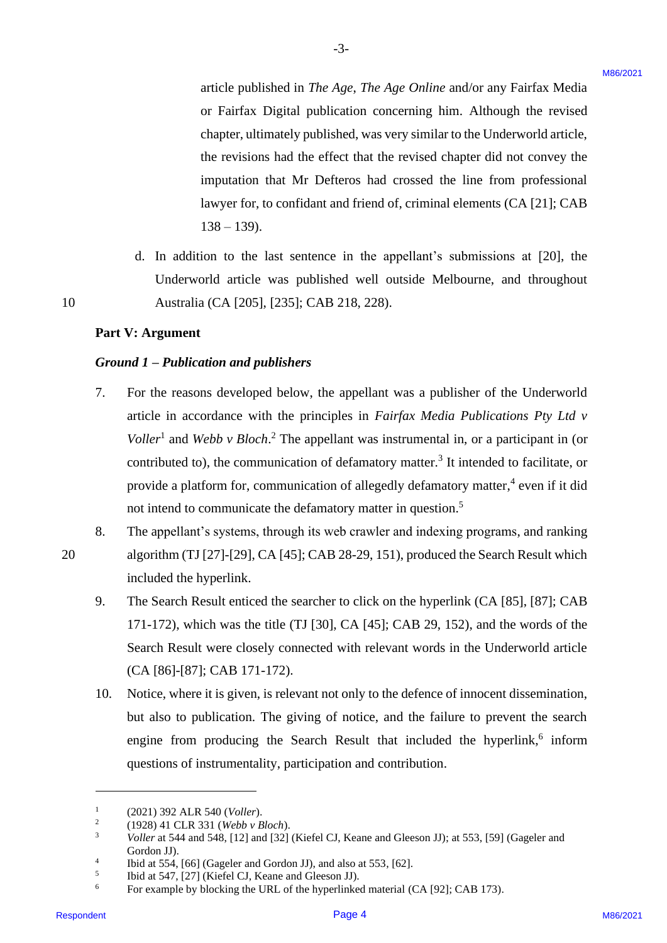article published in *The Age*, *The Age Online* and/or any Fairfax Media article published in The Age, The Age Online and/or any Fairfax Media or Fairfax Digital publication concerning him. Although the revised or Fairfax Digital publication concerning him. Although the revised chapter, ultimately published, was very similar to the Underworld article, chapter, ultimately published, was very similar to the Underworld article, the revisions had the effect that the revised chapter did not convey the the revisions had the effect that the revised chapter did not convey the imputation that Mr Defteros had crossed the line from professional imputation that Mr Defteros had crossed the line from professional lawyer for, to confidant and friend of, criminal elements (CA [21]; CAB lawyer for, to confidant and friend of, criminal elements(CA [21]; CAB 138 – 139). 138 —139).

d. In addition to the last sentence in the appellant's submissions at [20], the d. In addition to the last sentence in the appellant's submissions at [20], the Underworld article was published well outside Melbourne, and throughout Underworld article was published well outside Melbourne, and throughout 10 Australia (CA [205], [235]; CAB 218, 228). Australia (CA [205], [235]; CAB 218, 228).

#### **Part V: Argument**  Part V: Argument

10

20

#### *Ground 1 – Publication and publishers*  Ground 1 — Publication and publishers

- 7. For the reasons developed below, the appellant was a publisher of the Underworld article in accordance with the principles in *Fairfax Media Publications Pty Ltd v* article in accordance with the principles in Fairfax Media Publications Pty Ltd v*Voller*<sup>1</sup> and *Webb v Bloch*.<sup>2</sup> The appellant was instrumental in, or a participant in (or contributed to), the communication of defamatory matter.<sup>3</sup> It intended to facilitate, or provide a platform for, communication of allegedly defamatory matter,<sup>4</sup> even if it did not intend to communicate the defamatory matter in question.<sup>5</sup> erticle published in  $The Age$ ,  $The Age$  online and/or any Fairfax Media<br>or Fairfax Digital published) converting this. Although the cense of<br>organization constraints that the energy in the second vertex of the<br>discussion of the c 7.
- 8. The appellant's systems, through its web crawler and indexing programs, and ranking The appellant's systems, through its web crawler and indexing programs, and ranking 20 algorithm (TJ [27]-[29], CA [45]; CAB 28-29, 151), produced the Search Result which algorithm (TJ [27]-[29], CA [45]; CAB 28-29, 151), produced the Search Result which included the hyperlink. included the hyperlink. 8.
	- 9. The Search Result enticed the searcher to click on the hyperlink (CA [85], [87]; CAB The Search Result enticed the searcher to click on the hyperlink (CA [85], [87]; CAB 171-172), which was the title (TJ [30], CA [45]; CAB 29, 152), and the words of the 171-172), which was the title (TJ [30], CA [45]; CAB 29, 152), and the words of the Search Result were closely connected with relevant words in the Underworld article Search Result were closely connected with relevant words in the Underworld article (CA [86]-[87]; CAB 171-172). (CA [86]-[87]; CAB 171-172). 9.
	- 10. Notice, where it is given, is relevant not only to the defence of innocent dissemination, Notice, where it is given, is relevant not only to the defence of innocent dissemination, but also to publication. The giving of notice, and the failure to prevent the search but also to publication. The giving of notice, and the failure to prevent the search engine from producing the Search Result that included the hyperlink,<sup>6</sup> inform questions of instrumentality, participation and contribution. questions of instrumentality, participation and contribution. 10.

<sup>1</sup> (2021) 392 ALR 540 (*Voller*). (2021) 392 ALR 540 (Voller).

 $\mathcal{L}$ (1928) 41 CLR 331 (*Webb v Bloch*). (1928) 41 CLR 331 (Webb v Bloch).

<sup>&</sup>lt;sup>3</sup> *Voller* at 544 and 548, [12] and [32] (Kiefel CJ, Keane and Gleeson JJ); at 553, [59] (Gageler and Gordon JJ). Gordon JJ).

<sup>4</sup> Ibid at 554, [66] (Gageler and Gordon JJ), and also at 553, [62]. Ibid at 554, [66] (Gageler and Gordon JJ), and also at 553, [62].

<sup>5</sup> Ibid at 547, [27] (Kiefel CJ, Keane and Gleeson JJ). Ibid at 547, [27] (Kiefel CJ, Keane and Gleeson JJ).

 $6$  For example by blocking the URL of the hyperlinked material (CA [92]; CAB 173).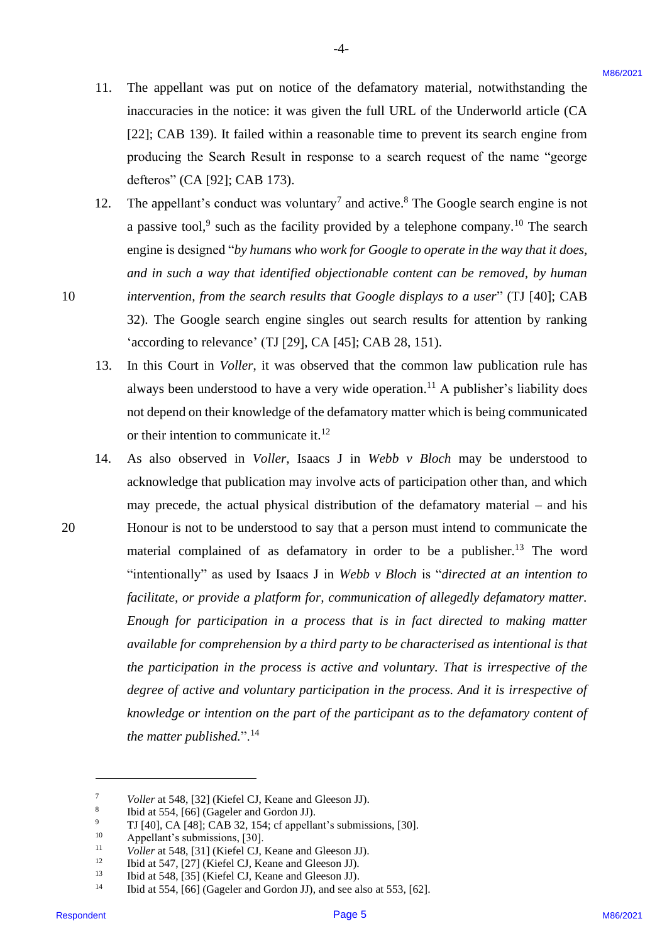11. The appellant was put on notice of the defamatory material, notwithstanding the The appellant was put on notice of the defamatory material, notwithstanding the inaccuracies in the notice: it was given the full URL of the Underworld article (CA inaccuracies in the notice: it was given the full URL of the Underworld article (CA [22]; CAB 139). It failed within a reasonable time to prevent its search engine from [22]; CAB 139). It failed within <sup>a</sup> reasonable time to prevent its search engine from producing the Search Result in response to a search request of the name "george producing the Search Result in response to <sup>a</sup> search request of the name "george defteros" (CA [92]; CAB 173). defteros" (CA [92]; CAB 173). 11.

-4- -4-

- 12. The appellant's conduct was voluntary<sup>7</sup> and active.<sup>8</sup> The Google search engine is not a passive tool,<sup>9</sup> such as the facility provided by a telephone company.<sup>10</sup> The search engine is designed "*by humans who work for Google to operate in the way that it does,*  engine is designed "by humans who workfor Google to operate in the way that it does, *and in such a way that identified objectionable content can be removed, by human*  and in such a way that identified objectionable content can be removed, by human 10 *intervention, from the search results that Google displays to a user*" (TJ [40]; CAB 32). The Google search engine singles out search results for attention by ranking 32). The Google search engine singles out search results for attention by ranking 'according to relevance' (TJ [29], CA [45]; CAB 28, 151). 'according to relevance' (TJ [29], CA [45]; CAB 28, 151). 12.
	- 13. In this Court in *Voller*, it was observed that the common law publication rule has always been understood to have a very wide operation. <sup>11</sup> A publisher's liability does always been understood to have <sup>a</sup> very wide operation.'! A publisher's liability does not depend on their knowledge of the defamatory matter which is being communicated not depend on their knowledge of the defamatory matter which is being communicated or their intention to communicate it. $12$ 13.
- 14. As also observed in *Voller*, Isaacs J in *Webb v Bloch* may be understood to As also observed in Voller, Isaacs J in Webb v Bloch may be understood to acknowledge that publication may involve acts of participation other than, and which acknowledge that publication may involve acts of participation other than, and which may precede, the actual physical distribution of the defamatory material – and his may precede, the actual physical distribution of the defamatory material — and his 20 Honour is not to be understood to say that a person must intend to communicate the Honour is not to be understood to say that <sup>a</sup> person must intend to communicate the material complained of as defamatory in order to be a publisher.<sup>13</sup> The word "intentionally" as used by Isaacs J in *Webb v Bloch* is "*directed at an intention to*  "intentionally" as used by Isaacs <sup>J</sup> in Webb v Bloch is "directed at an intention to *facilitate, or provide a platform for, communication of allegedly defamatory matter.*  facilitate, or provide a platform for, communication of allegedly defamatory matter. *Enough for participation in a process that is in fact directed to making matter*  Enough for participation in a process that is in fact directed to making matter available for comprehension by a third party to be characterised as intentional is that *the participation in the process is active and voluntary. That is irrespective of the*  the participation in the process is active and voluntary. That is irrespective of the degree of active and voluntary participation in the process. And it is irrespective of *knowledge or intention on the part of the participant as to the defamatory content of*  knowledge or intention on the part of the participant as to the defamatory content of the matter published.".<sup>14</sup> 11. The appellant was par on notice of the definitiony rateical, notwithstanding the<br>
incurrence in the subset in two spires the fail URL of the Underweath arises (CA (18)<br>
223: CAB 139), k fulled with in a sponsor to a s 14.

20

<sup>7</sup> *Voller* at 548, [32] (Kiefel CJ, Keane and Gleeson JJ). Voller at 548, [32] (Kiefel CJ, Keane and Gleeson JJ). 7

<sup>8</sup> 8 Ibid at 554, [66] (Gageler and Gordon JJ). Ibid at 554, [66] (Gageler and Gordon JJ).

<sup>&</sup>lt;sup>9</sup> TJ [40], CA [48]; CAB 32, 154; cf appellant's submissions, [30]. 9

<sup>10</sup> Appellant's submissions, [30]. Appellant's submissions, [30]. 10

<sup>&</sup>lt;sup>11</sup> *Voller* at 548, [31] (Kiefel CJ, Keane and Gleeson JJ). 1

<sup>12</sup> Ibid at 547, [27] (Kiefel CJ, Keane and Gleeson JJ). Ibid at 547, [27] (Kiefel CJ, Keane and Gleeson JJ). 12

<sup>13</sup> Ibid at 548, [35] (Kiefel CJ, Keane and Gleeson JJ). Ibid at 548, [35] (Kiefel CJ, Keane and Gleeson JJ). 13

<sup>&</sup>lt;sup>14</sup> Ibid at 554, [66] (Gageler and Gordon JJ), and see also at 553, [62]. 14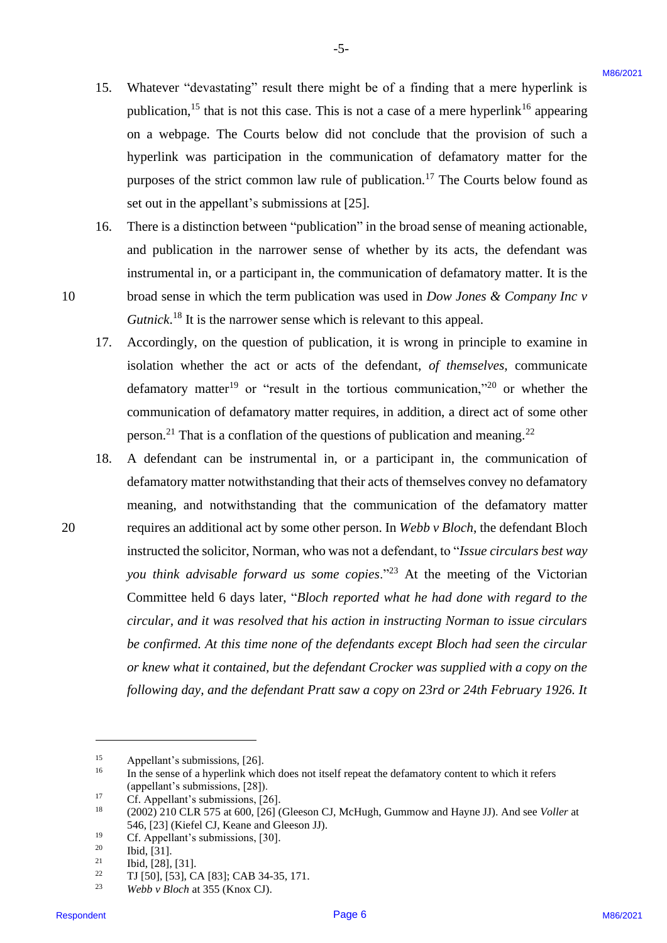15. Whatever "devastating" result there might be of a finding that a mere hyperlink is Whatever "devastating" result there might be of <sup>a</sup> finding that <sup>a</sup> mere hyperlink is publication,<sup>15</sup> that is not this case. This is not a case of a mere hyperlink<sup>16</sup> appearing on a webpage. The Courts below did not conclude that the provision of such a on <sup>a</sup> webpage. The Courts below did not conclude that the provision of such <sup>a</sup> hyperlink was participation in the communication of defamatory matter for the hyperlink was participation in the communication of defamatory matter for the purposes of the strict common law rule of publication.<sup>17</sup> The Courts below found as set out in the appellant's submissions at [25]. set out in the appellant's submissions at [25]. 15.

-5- -5-

- 16. There is a distinction between "publication" in the broad sense of meaning actionable, There is a distinction between "publication" in the broad sense of meaning actionable, and publication in the narrower sense of whether by its acts, the defendant was and publication in the narrower sense of whether by its acts, the defendant was instrumental in, or a participant in, the communication of defamatory matter. It is the instrumental in, or <sup>a</sup> participant in, the communication of defamatory matter. It is the 10 broad sense in which the term publication was used in *Dow Jones & Company Inc v*  broad sense in which the term publication was used in Dow Jones & Company Inc v Gutnick.<sup>18</sup> It is the narrower sense which is relevant to this appeal. 16.
	- 17. Accordingly, on the question of publication, it is wrong in principle to examine in Accordingly, on the question of publication, it is wrong in principle to examine in isolation whether the act or acts of the defendant, *of themselves*, communicate isolation whether the act or acts of the defendant, of themselves, communicate defamatory matter<sup>19</sup> or "result in the tortious communication,"<sup>20</sup> or whether the communication of defamatory matter requires, in addition, a direct act of some other person.<sup>21</sup> That is a conflation of the questions of publication and meaning.<sup>22</sup> 17.
- 18. A defendant can be instrumental in, or a participant in, the communication of A defendant can be instrumental in, or a participant in, the communication of defamatory matter notwithstanding that their acts of themselves convey no defamatory defamatory matter notwithstanding that their acts of themselves convey no defamatorymeaning, and notwithstanding that the communication of the defamatory matter meaning, and notwithstanding that the communication of the defamatory matter 20 requires an additional act by some other person. In *Webb v Bloch*, the defendant Bloch requires an additional act by some other person. In Webb v Bloch, the defendant Bloch instructed the solicitor, Norman, who was not a defendant, to "*Issue circulars best way*  instructed the solicitor, Norman, who was not a defendant, to "/ssue circulars best way you think advisable forward us some copies."<sup>23</sup> At the meeting of the Victorian Committee held 6 days later, "*Bloch reported what he had done with regard to the*  Committee held 6 days later, "Bloch reported what he had done with regard to the *circular, and it was resolved that his action in instructing Norman to issue circulars*  circular, and it was resolved that his action in instructing Norman to issue circulars be confirmed. At this time none of the defendants except Bloch had seen the circular or knew what it contained, but the defendant Crocker was supplied with a copy on the *following day, and the defendant Pratt saw a copy on 23rd or 24th February 1926. It*  following day, and the defendant Pratt saw a copy on 23rd or 24th February 1926. It 15. Whenever "deventsing" result that case the sight be of a that<br>happen that a note by pellude in the model of the notation of defined<br>when the sight in the sight of the sight in the conclude that the provision of defini 18.

10

<sup>15</sup> Appellant's submissions, [26]. Appellant's submissions, [26].

<sup>&</sup>lt;sup>16</sup> In the sense of a hyperlink which does not itself repeat the defamatory content to which it refers (appellant's submissions, [28]). (appellant's submissions, [28]).

<sup>17</sup> Cf. Appellant's submissions, [26]. Cf. Appellant's submissions, [26].

 $^{18}$  (2002) 210 CLR 575 at 600, [26] (Gleeson CJ, McHugh, Gummow and Hayne JJ). And see *Voller* at 546, [23] (Kiefel CJ, Keane and Gleeson JJ). 546, [23] (Kiefel CJ, Keane and Gleeson JJ).

<sup>19</sup> Cf. Appellant's submissions, [30]. Cf. Appellant's submissions, [30].

<sup>20</sup> Ibid, [31]. Ibid, [31].

 $21$  Ibid, [28], [31].

<sup>22</sup> TJ [50], [53], CA [83]; CAB 34-35, 171. TJ [50], [53], CA [83]; CAB 34-35, 171.

<sup>23</sup> *Webb v Bloch* at 355 (Knox CJ). Webb v Bloch at 355 (Knox CJ).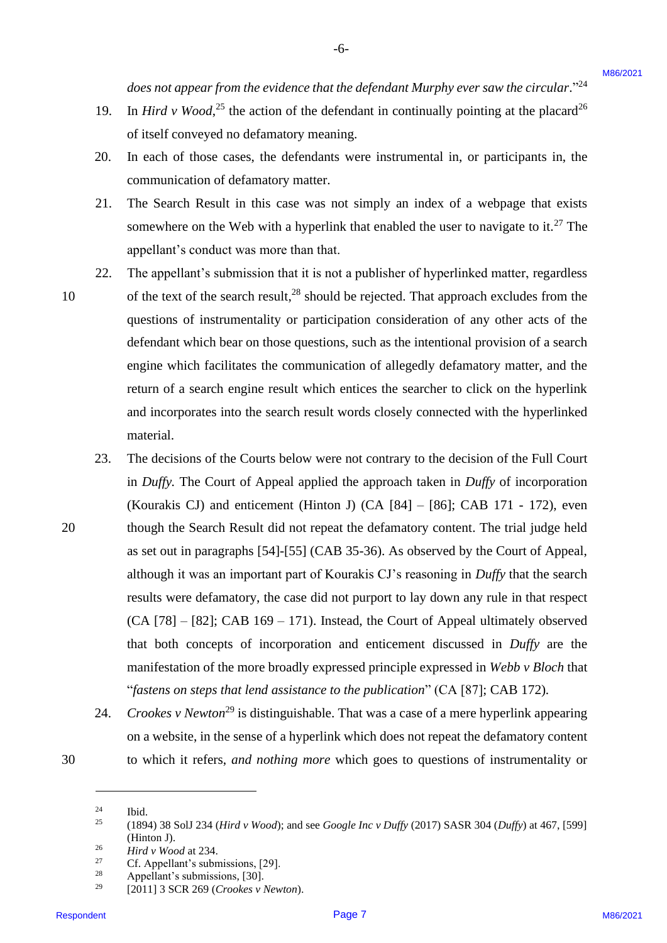19. In *Hird v Wood*,<sup>25</sup> the action of the defendant in continually pointing at the placard<sup>26</sup> of itself conveyed no defamatory meaning. 19.

-6- -6-

- 20. In each of those cases, the defendants were instrumental in, or participants in, the In each of those cases, the defendants were instrumental in, or participants in, the communication of defamatory matter. communication of defamatory matter. 20.
- 21. The Search Result in this case was not simply an index of a webpage that exists The Search Result in this case was not simply an index of a webpage that exists somewhere on the Web with a hyperlink that enabled the user to navigate to it.<sup>27</sup> The appellant's conduct was more than that. appellant's conduct was more than that. 21.
- 22. The appellant's submission that it is not a publisher of hyperlinked matter, regardless The appellant's submission that it is not a publisher of hyperlinked matter, regardless 10 of the text of the search result, $^{28}$  should be rejected. That approach excludes from the questions of instrumentality or participation consideration of any other acts of the questions of instrumentality or participation consideration of any other acts of the defendant which bear on those questions, such as the intentional provision of a search defendant which bear on those questions, such as the intentional provision of <sup>a</sup> search engine which facilitates the communication of allegedly defamatory matter, and the engine which facilitates the communication of allegedly defamatory matter, and the return of a search engine result which entices the searcher to click on the hyperlink and incorporates into the search result words closely connected with the hyperlinked and incorporates into the search result words closely connected with the hyperlinked material. material. 22.
- 23. The decisions of the Courts below were not contrary to the decision of the Full Court in *Duffy.* The Court of Appeal applied the approach taken in *Duffy* of incorporation in Duffy. The Court of Appeal applied the approach taken in Duffy of incorporation (Kourakis CJ) and enticement (Hinton J) (CA [84] – [86]; CAB 171 - 172), even (Kourakis CJ) and enticement (Hinton J) (CA [84] — [86]; CAB 171 - 172), even 20 though the Search Result did not repeat the defamatory content. The trial judge held though the Search Result did not repeat the defamatory content. The trial judge held as set out in paragraphs [54]-[55] (CAB 35-36). As observed by the Court of Appeal, as set out in paragraphs [54]-[55] (CAB 35-36). As observed by the Court of Appeal, although it was an important part of Kourakis CJ's reasoning in *Duffy* that the search although it was an important part of Kourakis CJ's reasoning in Duffy that the search results were defamatory, the case did not purport to lay down any rule in that respect (CA [78] – [82]; CAB 169 – 171). Instead, the Court of Appeal ultimately observed (CA [78] —[82]; CAB 169 — 171). Instead, the Court of Appeal ultimately observed that both concepts of incorporation and enticement discussed in *Duffy* are the that both concepts of incorporation and enticement discussed in Duffy are the manifestation of the more broadly expressed principle expressed in *Webb v Bloch* that manifestation of the more broadly expressed principle expressed in Webb v Bloch that "*fastens on steps that lend assistance to the publication*" (CA [87]; CAB 172)*.*  "fastens on steps that lend assistance to the publication" (CA [87]; CAB 172). does not appear from the criterace that the defendant Marphy ever star the criteriolar (March Wood<sup>23</sup> Page 101). In the definition of the definition of the definition of the definition of the definition of the definition 23.
- 24. *Crookes v Newton*<sup>29</sup> is distinguishable. That was a case of a mere hyperlink appearing on a website, in the sense of a hyperlink which does not repeat the defamatory content 30 to which it refers, *and nothing more* which goes to questions of instrumentality or to which it refers, and nothing more which goes to questions of instrumentality or 24.

10

<sup>30</sup>

<sup>24</sup> Ibid. Ibid.  $24$ 

<sup>&</sup>lt;sup>25</sup> (1894) 38 SolJ 234 (*Hird v Wood*); and see *Google Inc v Duffy* (2017) SASR 304 (*Duffy*) at 467, [599] (Hinton J). (Hinton J). 25

<sup>26</sup> *Hird v Wood* at 234. Hird v Woodat 234. 26

<sup>27</sup> Cf. Appellant's submissions, [29]. Cf. Appellant's submissions, [29]. 27

<sup>28</sup> Appellant's submissions, [30]. Appellant's submissions, [30]. 28

<sup>29</sup> [2011] 3 SCR 269 (*Crookes v Newton*). [2011] <sup>3</sup> SCR 269 (Crookes v Newton). 29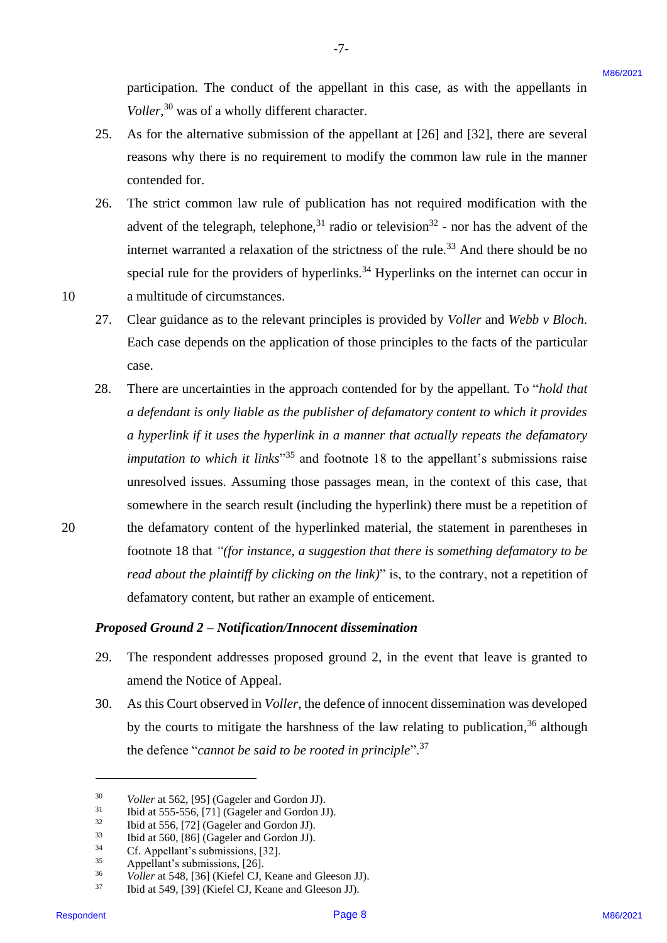participation. The conduct of the appellant in this case, as with the appellants in Voller,<sup>30</sup> was of a wholly different character.

25. As for the alternative submission of the appellant at [26] and [32], there are several reasons why there is no requirement to modify the common law rule in the manner contended for. contended for. 25.

-7- -7-

- 26. The strict common law rule of publication has not required modification with the The strict common law rule of publication has not required modification with the advent of the telegraph, telephone,<sup>31</sup> radio or television<sup>32</sup> - nor has the advent of the internet warranted a relaxation of the strictness of the rule.<sup>33</sup> And there should be no special rule for the providers of hyperlinks.<sup>34</sup> Hyperlinks on the internet can occur in 10 a multitude of circumstances. a multitude of circumstances. 26.
	- 27. Clear guidance as to the relevant principles is provided by *Voller* and *Webb v Bloch*. Clear guidance as to the relevant principles is provided by Voller and Webb v Bloch. Each case depends on the application of those principles to the facts of the particular Each case depends on the application of those principles to the facts of the particular case. case. 27.
- 28. There are uncertainties in the approach contended for by the appellant. To "*hold that a defendant is only liable as the publisher of defamatory content to which it provides*  a defendant is only liable as the publisher of defamatory content to which it provides a hyperlink if it uses the hyperlink in a manner that actually repeats the defamatory *imputation to which it links*<sup>35</sup> and footnote 18 to the appellant's submissions raise unresolved issues. Assuming those passages mean, in the context of this case, that unresolved issues. Assuming those passages mean, in the context of this case, that somewhere in the search result (including the hyperlink) there must be a repetition of somewhere in the search result (including the hyperlink) there must be <sup>a</sup> repetition of 20 the defamatory content of the hyperlinked material, the statement in parentheses in the defamatory content of the hyperlinked material, the statement in parentheses in footnote 18 that *"(for instance, a suggestion that there is something defamatory to be*  footnote <sup>18</sup> that "(for instance, a suggestion that there is something defamatory to be read about the plaintiff by clicking on the link)" is, to the contrary, not a repetition of defamatory content, but rather an example of enticement. defamatory content, but rather an example of enticement. participation. The conduct of the appellant in this case, as with the uppellants in<br>  $V_{\text{0}}/R_{\text{0}}$ <sup>2</sup> was ch a which situation clunciest.<br>
25. As for the alternative submission of the appellant at [26] and [22], there 28.

#### *Proposed Ground 2 – Notification/Innocent dissemination*  Proposed Ground 2 — Notification/Innocent dissemination

- 29. The respondent addresses proposed ground 2, in the event that leave is granted to The respondent addresses proposed ground 2, in the event that leave is granted to amend the Notice of Appeal. amend the Notice of Appeal. 29.
- 30. As this Court observed in *Voller*, the defence of innocent dissemination was developed As this Court observed in Voller, the defence of innocent dissemination was developed by the courts to mitigate the harshness of the law relating to publication,<sup>36</sup> although the defence "*cannot be said to be rooted in principle*".<sup>37</sup> 30.

20

<sup>30</sup> *Voller* at 562, [95] (Gageler and Gordon JJ). Voller at 562, [95] (Gageler and Gordon JJ). 30

<sup>31</sup> Ibid at 555-556, [71] (Gageler and Gordon JJ). Ibid at 555-556, [71] (Gageler and Gordon JJ). 31

 $32$  Ibid at 556, [72] (Gageler and Gordon JJ). 32

<sup>33</sup> Ibid at 560, [86] (Gageler and Gordon JJ). Ibid at 560, [86] (Gageler and Gordon JJ). 33

<sup>34</sup> Cf. Appellant's submissions, [32]. Cf. Appellant's submissions, [32]. 34

<sup>35</sup> Appellant's submissions, [26]. Appellant's submissions, [26]. 35

<sup>&</sup>lt;sup>36</sup> *Voller* at 548, [36] (Kiefel CJ, Keane and Gleeson JJ). 36

<sup>37</sup> Ibid at 549, [39] (Kiefel CJ, Keane and Gleeson JJ). Ibid at 549, [39] (Kiefel CJ, Keane and Gleeson JJ). 37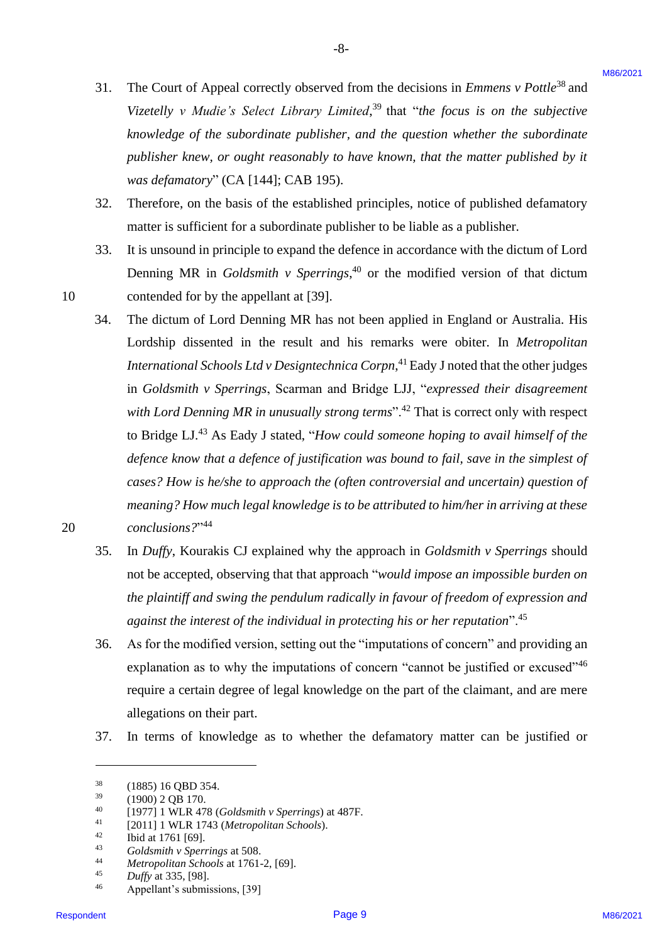31. The Court of Appeal correctly observed from the decisions in *Emmens v Pottle*<sup>38</sup> and Vizetelly v Mudie's Select Library Limited,<sup>39</sup> that "the focus is on the subjective knowledge of the subordinate publisher, and the question whether the subordinate publisher knew, or ought reasonably to have known, that the matter published by it *was defamatory*" (CA [144]; CAB 195). was defamatory" (CA [144]; CAB 195). 31.

-8- -8-

- 32. Therefore, on the basis of the established principles, notice of published defamatory Therefore, on the basis of the established principles, notice of published defamatory matter is sufficient for a subordinate publisher to be liable as a publisher. matter is sufficient for a subordinate publisher to be liable as a publisher. 32.
- 33. It is unsound in principle to expand the defence in accordance with the dictum of Lord Denning MR in *Goldsmith v Sperrings*,<sup>40</sup> or the modified version of that dictum 10 contended for by the appellant at [39]. contended for by the appellant at [39]. 33.
- 34. The dictum of Lord Denning MR has not been applied in England or Australia. His The dictum of Lord Denning MR has not been applied in England or Australia. His Lordship dissented in the result and his remarks were obiter. In *Metropolitan*  Lordship dissented in the result and his remarks were obiter. In Metropolitan International Schools Ltd v Designtechnica Corpn,<sup>41</sup> Eady J noted that the other judges in *Goldsmith v Sperrings*, Scarman and Bridge LJJ, "*expressed their disagreement*  in Goldsmith v Sperrings, Scarman and Bridge LJJ, "expressed their disagreement with Lord Denning MR in unusually strong terms".<sup>42</sup> That is correct only with respect to Bridge LJ.<sup>43</sup> As Eady J stated, "*How could someone hoping to avail himself of the* defence know that a defence of justification was bound to fail, save in the simplest of *cases? How is he/she to approach the (often controversial and uncertain) question of*  cases?How is he/she to approach the (often controversial and uncertain) question of *meaning? How much legal knowledge is to be attributed to him/her in arriving at these*  meaning? How much legal knowledge is to be attributed to him/her in arriving at these *conclusions?*" <sup>44</sup> 20 conclusions?" 31. The Court of Appeal convectly observed from the decisions in Envaries  $v$  Perite" and<br>
Victorial  $v_1$  Marke's Solent Library Listonics" to the first pixes, is on the subjective<br>
from the space of the subsection publi 34.
	- 35. In *Duffy*, Kourakis CJ explained why the approach in *Goldsmith v Sperrings* should In Duffy, Kourakis CJ explained why the approach in Goldsmith v Sperrings should not be accepted, observing that that approach "*would impose an impossible burden on*  not be accepted, observing that that approach "would impose an impossible burden on the plaintiff and swing the pendulum radically in favour of freedom of expression and *against the interest of the individual in protecting his or her reputation*".<sup>45</sup> against the interest of the individual in protecting his or her reputation". 35.
	- 36. As for the modified version, setting out the "imputations of concern" and providing an As for the modified version, setting out the "imputations of concern" and providing an explanation as to why the imputations of concern "cannot be justified or excused"<sup>46</sup> require a certain degree of legal knowledge on the part of the claimant, and are mere allegations on their part. allegations on their part. 36.
	- 37. In terms of knowledge as to whether the defamatory matter can be justified or In terms of knowledge as to whether the defamatory matter can be justified or 37.

<sup>38</sup> (1885) 16 QBD 354. (1885) 16 QBD 354. 38

 $39$  (1900) 2 QB 170. 39

<sup>40</sup> [1977] 1 WLR 478 (*Goldsmith v Sperrings*) at 487F. [1977] 1 WLR 478 (Goldsmith <sup>v</sup> Sperrings) at 487F.40

<sup>41</sup> [2011] 1 WLR 1743 (*Metropolitan Schools*). [2011] 1 WLR 1743 (Metropolitan Schools). 4l

Ibid at 1761 [69]. 42

<sup>&</sup>lt;sup>42</sup> Ibid at 1761 [69].<br><sup>43</sup> *Goldsmith v Sperrings* at 508. 4B

<sup>44</sup> *Metropolitan Schools* at 1761-2, [69]. Metropolitan Schools at 1761-2, [69]. 44

<sup>45</sup> *Duffy* at 335, [98]. Duffy at 335, [98]. 45

<sup>46</sup> Appellant's submissions, [39] Appellant's submissions, [39] 46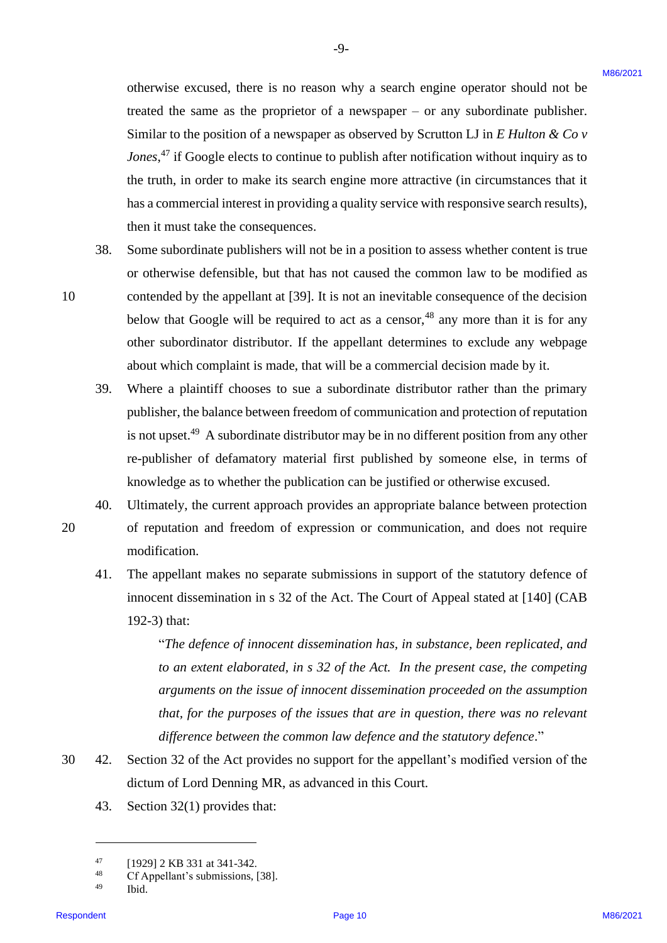otherwise excused, there is no reason why a search engine operator should not be otherwise excused, there is no reason why <sup>a</sup> search engine operator should not be treated the same as the proprietor of a newspaper – or any subordinate publisher. treated the same as the proprietor of <sup>a</sup> newspaper — or any subordinate publisher. Similar to the position of a newspaper as observed by Scrutton LJ in *E Hulton & Co v*  Similar to the position of <sup>a</sup> newspaper as observed by Scrutton LJ in E Hulton & Cov *Jones*,<sup>47</sup> if Google elects to continue to publish after notification without inquiry as to the truth, in order to make its search engine more attractive (in circumstances that it has a commercial interest in providing a quality service with responsive search results), has acommercial interest in providing <sup>a</sup> quality service with responsive search results), then it must take the consequences. then it must take the consequences. otherwise excused, there is no teacher on why a search engine operator about hot by the<br>state in each as the propositor of a mewspaper – of any substatute publisher<br>state in the propositor of a mewspaper – of a meta-stat

-9- -9-

- 38. Some subordinate publishers will not be in a position to assess whether content is true Some subordinate publishers will not be in <sup>a</sup> position to assess whether content is true or otherwise defensible, but that has not caused the common law to be modified as 10 contended by the appellant at [39]. It is not an inevitable consequence of the decision contended by the appellant at [39]. It is not an inevitable consequence of the decision below that Google will be required to act as a censor,<sup>48</sup> any more than it is for any other subordinator distributor. If the appellant determines to exclude any webpage about which complaint is made, that will be a commercial decision made by it. about which complaint is made, that will bea commercial decision made by it. 38.
	- 39. Where a plaintiff chooses to sue a subordinate distributor rather than the primary Where <sup>a</sup> plaintiff chooses to sue a subordinate distributor rather than the primary publisher, the balance between freedom of communication and protection of reputation publisher, the balance between freedom of communication and protection of reputation is not upset.<sup>49</sup> A subordinate distributor may be in no different position from any other re-publisher of defamatory material first published by someone else, in terms of knowledge as to whether the publication can be justified or otherwise excused. knowledge as to whether the publication can bejustified or otherwise excused. 39.
	- 40. Ultimately, the current approach provides an appropriate balance between protection Ultimately, the current approach provides an appropriate balance between protection 40.
- 20 of reputation and freedom of expression or communication, and does not require of reputation and freedom of expression or communication, and does not require modification. modification.
	- 41. The appellant makes no separate submissions in support of the statutory defence of The appellant makes no separate submissions in support of the statutory defence of innocent dissemination in s 32 of the Act. The Court of Appeal stated at [140] (CAB innocent dissemination in <sup>s</sup> 32 of the Act. The Court of Appeal stated at [140] (CAB 192-3) that: 192-3) that: 41.

"*The defence of innocent dissemination has, in substance, been replicated, and*  "The defence of innocent dissemination has, in substance, been replicated, and to an extent elaborated, in s 32 of the Act. In the present case, the competing *arguments on the issue of innocent dissemination proceeded on the assumption*  arguments on the issue of innocent dissemination proceeded on the assumption *that, for the purposes of the issues that are in question, there was no relevant*  that, for the purposes of the issues that are in question, there was no relevant *difference between the common law defence and the statutory defence*." difference between the common law defence and the statutory defence."

- 30 42. Section 32 of the Act provides no support for the appellant's modified version of the Section 32 of the Act provides no support for the appellant's modified version of the dictum of Lord Denning MR, as advanced in this Court. dictum of Lord Denning MR, as advanced in this Court. 30 42.
	- 43. Section 32(1) provides that: Section 32(1) provides that: 43.

 $^{47}$  [1929] 2 KB 331 at 341-342. 47

<sup>48</sup> Cf Appellant's submissions, [38]. Cf Appellant's submissions, [38]. 48

<sup>49</sup> Ibid. Ibid. 49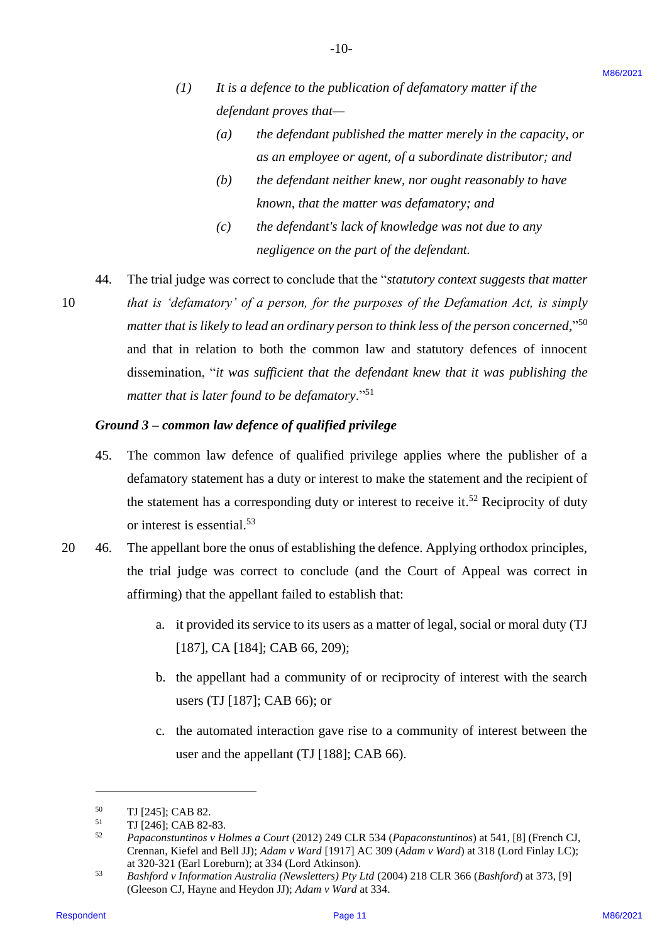$(1)$  It is a defence to the publication of defamatory matter if the *defendant proves that—* defendant proves that—

-10- -10-

- *(a) the defendant published the matter merely in the capacity, or*  (a) the defendantpublished the matter merely in the capacity, or *as an employee or agent, of a subordinate distributor; and* as an employee or agent, of a subordinate distributor; and
- (b) the defendant neither knew, nor ought reasonably to have *known, that the matter was defamatory; and* known, that the matter was defamatory; and
- *(c) the defendant's lack of knowledge was not due to any*  (c) the defendant's lack ofknowledge was not due to any *negligence on the part of the defendant.* negligence on the part of the defendant.
- 44. The trial judge was correct to conclude that the "*statutory context suggests that matter*  The trial judge was correct to conclude that the "statutory context suggests that matter 10 *that is 'defamatory' of a person, for the purposes of the Defamation Act, is simply*  that is 'defamatory' of a person, for the purposes of the Defamation Act, is simply matter that is likely to lead an ordinary person to think less of the person concerned,"<sup>50</sup> and that in relation to both the common law and statutory defences of innocent and that in relation to both the common law and statutory defences of innocent dissemination, "*it was sufficient that the defendant knew that it was publishing the*  dissemination, "it was sufficient that the defendant knew that it was publishing the matter that is later found to be defamatory."<sup>51</sup> (1) It is a defence to the publication of definitesory instear the experiment of the defined to the expansion, or  $\langle a \rangle$  and defined the expansion of the expansion of  $\langle a \rangle$  and definites the expansion of  $\langle a \rangle$  and  $\$ 44,

#### *Ground 3 – common law defence of qualified privilege* Ground <sup>3</sup> — common law defence ofqualified privilege

- 45. The common law defence of qualified privilege applies where the publisher of a The common law defence of qualified privilege applies where the publisher of a defamatory statement has a duty or interest to make the statement and the recipient of defamatory statement has <sup>a</sup> duty or interest to make the statement and the recipient of the statement has a corresponding duty or interest to receive it.<sup>52</sup> Reciprocity of duty or interest is essential.<sup>53</sup> 45.
- 20 46. The appellant bore the onus of establishing the defence. Applying orthodox principles, The appellant bore the onus of establishing the defence. Applying orthodox principles, the trial judge was correct to conclude (and the Court of Appeal was correct in the trial judge was correct to conclude (and the Court of Appeal was correct in affirming) that the appellant failed to establish that: affirming) that the appellant failed to establish that: 20 46.
	- a. it provided its service to its users as a matter of legal, social or moral duty (TJ a. it provided its service to its users as a matter of legal, social or moral duty (TJ [187], CA [184]; CAB 66, 209); [187], CA [184]; CAB 66, 209);
	- b. the appellant had a community of or reciprocity of interest with the search b. the appellant had <sup>a</sup> community of or reciprocity of interest with the search users (TJ [187]; CAB 66); or users (TJ [187]; CAB 66); or
	- c. the automated interaction gave rise to a community of interest between the user and the appellant (TJ [188]; CAB 66). user and the appellant (TJ [188]; CAB 66).

<sup>50</sup> TJ [245]; CAB 82. TJ [245]; CAB 82. 50

<sup>51</sup> TJ [246]; CAB 82-83. TJ [246]; CAB 82-83. 51

<sup>52</sup> *Papaconstuntinos v Holmes a Court* (2012) 249 CLR 534 (*Papaconstuntinos*) at 541, [8] (French CJ, Papaconstuntinos <sup>v</sup> Holmes a Court (2012) 249 CLR 534(Papaconstuntinos) at 541, [8] (French CJ,Crennan, Kiefel and Bell JJ); *Adam v Ward* [1917] AC 309 (*Adam v Ward*) at 318 (Lord Finlay LC); Crennan, Kiefel and Bell JJ); Adam v Ward [1917] AC 309 (Adam v Ward) at 318 (Lord Finlay LC); at 320-321 (Earl Loreburn); at 334 (Lord Atkinson). at 320-321 (Earl Loreburn); at 334 (Lord Atkinson). 52

<sup>53</sup> *Bashford v Information Australia (Newsletters) Pty Ltd* (2004) 218 CLR 366 (*Bashford*) at 373, [9] Bashford v Information Australia (Newsletters) Pty Ltd (2004) 218 CLR 366(Bashford) at 373, [9] (Gleeson CJ, Hayne and Heydon JJ); *Adam v Ward* at 334. 53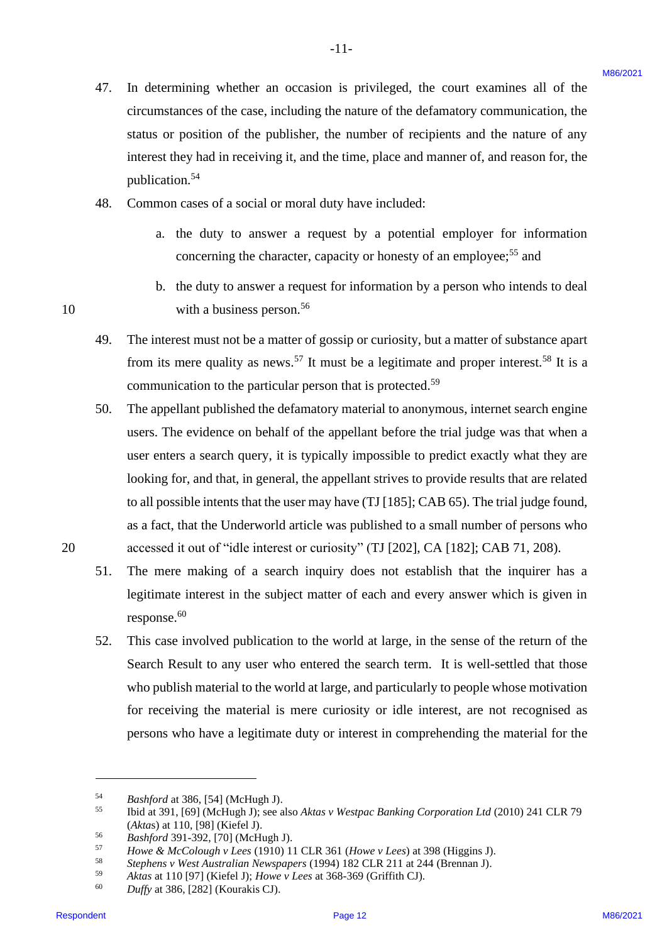$-11-$ 

- 48. Common cases of a social or moral duty have included: Common cases of <sup>a</sup> social or moral duty have included: 48.
	- a. the duty to answer a request by a potential employer for information a. the duty to answer <sup>a</sup> request by <sup>a</sup> potential employer for information concerning the character, capacity or honesty of an employee;<sup>55</sup> and
- b. the duty to answer a request for information by a person who intends to deal b. the duty to answer <sup>a</sup> request for information by a person who intends to deal 10 with a business person.<sup>56</sup>
	- 49. The interest must not be a matter of gossip or curiosity, but a matter of substance apart The interest must not be a matter of gossip or curiosity, but <sup>a</sup> matter of substance apart from its mere quality as news.<sup>57</sup> It must be a legitimate and proper interest.<sup>58</sup> It is a communication to the particular person that is protected.<sup>59</sup> 49.
- 50. The appellant published the defamatory material to anonymous, internet search engine The appellant published the defamatory material to anonymous, internet search engine users. The evidence on behalf of the appellant before the trial judge was that when a users. The evidence on behalf ofthe appellant before the trial judge was that when <sup>a</sup> user enters a search query, it is typically impossible to predict exactly what they are user enters a search query, it is typically impossible to predict exactly what they are looking for, and that, in general, the appellant strives to provide results that are related looking for, and that, in general, the appellant strives to provide results that are related to all possible intents that the user may have (TJ [185]; CAB 65). The trial judge found, to all possible intents that the user may have (TJ [185]; CAB 65). The trial judge found, as a fact, that the Underworld article was published to a small number of persons who as a fact, that the Underworld article was published to <sup>a</sup> small number of persons who 20 accessed it out of "idle interest or curiosity" (TJ [202], CA [182]; CAB 71, 208). accessed it out of "idle interest or curiosity" (TJ [202], CA [182]; CAB 71, 208). 47. In determining whether an occusion is privileged, the court examines all of the conventions of the case, enchange the numer of nedparators can be case, enchange the numer of nedparators can be spin and the case of a s 50.
	- 51. The mere making of a search inquiry does not establish that the inquirer has a legitimate interest in the subject matter of each and every answer which is given in legitimate interest in the subject matter of each and every answer which is given in response.<sup>60</sup> 51.
	- 52. This case involved publication to the world at large, in the sense of the return of the Search Result to any user who entered the search term. It is well-settled that those Search Result to any user who entered the search term. It is well-settled that those who publish material to the world at large, and particularly to people whose motivation who publish material to the world at large, and particularly to people whose motivation for receiving the material is mere curiosity or idle interest, are not recognised as for receiving the material is mere curiosity or idle interest, are not recognised as persons who have a legitimate duty or interest in comprehending the material for the persons who have <sup>a</sup> legitimate duty or interest in comprehending the material for the 52.

10

<sup>54</sup> *Bashford* at 386, [54] (McHugh J). Bashford at 386, [54] (McHugh J). 54

<sup>55</sup> Ibid at 391, [69] (McHugh J); see also *Aktas v Westpac Banking Corporation Ltd* (2010) 241 CLR 79 Ibid at 391, [69] (McHugh J); see also Aktas v Westpac Banking Corporation Ltd (2010) 241 CLR 79 (*Akta*s) at 110, [98] (Kiefel J). (Aktas) at 110, [98] (Kiefel J). 55

<sup>56</sup> *Bashford* 391-392, [70] (McHugh J). Bashford 391-392, [70] (McHugh J). 56

<sup>57</sup> *Howe & McColough v Lees* (1910) 11 CLR 361 (*Howe v Lees*) at 398 (Higgins J). Howe & McColough v Lees (1910) <sup>11</sup> CLR 361 (Howe v Lees) at 398 (Higgins J). 57

<sup>&</sup>lt;sup>58</sup> Stephens v West Australian Newspapers (1994) 182 CLR 211 at 244 (Brennan J). 58

<sup>59</sup> *Aktas* at 110 [97] (Kiefel J); *Howe v Lees* at 368-369 (Griffith CJ). Aktas at 110 [97] (Kiefel J); Howe v Lees at 368-369 (Griffith CJ). 59

<sup>60</sup> *Duffy* at 386, [282] (Kourakis CJ). Duffy at 386, [282] (Kourakis CJ). 60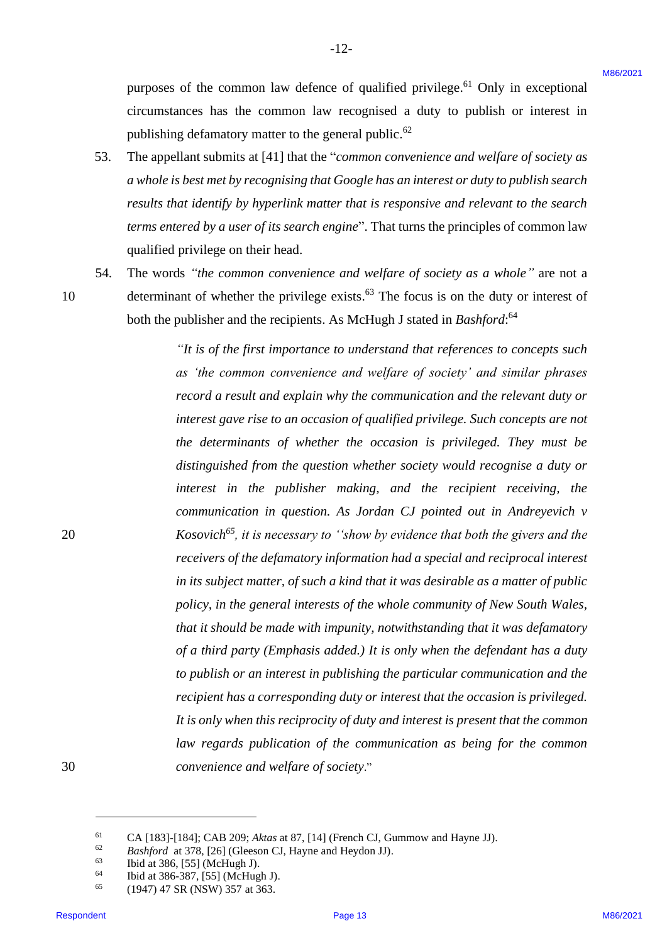purposes of the common law defence of qualified privilege.<sup>61</sup> Only in exceptional circumstances has the common law recognised a duty to publish or interest in circumstances has the common law recognised <sup>a</sup> duty to publish or interest in publishing defamatory matter to the general public.<sup>62</sup>

 $-12-$ 

- 53. The appellant submits at [41] that the "*common convenience and welfare of society as a whole is best met by recognising that Google has an interest or duty to publish search*  a whole is best met by recognising that Google has an interest or duty topublish search results that identify by hyperlink matter that is responsive and relevant to the search *terms entered by a user of its search engine*". That turns the principles of common law terms entered by a user of its search engine'. That turns the principles ofcommon law qualified privilege on their head. qualified privilege on their head. 53.
- 54. The words *"the common convenience and welfare of society as a whole"* are not a The words "the common convenience and welfare of society as a whole" are not <sup>a</sup> 54.

10

10 determinant of whether the privilege exists.<sup>63</sup> The focus is on the duty or interest of both the publisher and the recipients. As McHugh J stated in *Bashford*:<sup>64</sup>

*"It is of the first importance to understand that references to concepts such*  "Tt is of the first importance to understand that references to concepts such *as 'the common convenience and welfare of society' and similar phrases*  as 'the common convenience and welfare of society' and similar phrases record a result and explain why the communication and the relevant duty or *interest gave rise to an occasion of qualified privilege. Such concepts are not*  interest gave rise to an occasion ofqualified privilege. Such concepts are not *the determinants of whether the occasion is privileged. They must be*  the determinants of whether the occasion is privileged. They must be *distinguished from the question whether society would recognise a duty or*  distinguished from the question whether society would recognise a duty or *interest in the publisher making, and the recipient receiving, the* interest in the publisher making, and the recipient receiving, thecommunication in question. As Jordan CJ pointed out in Andreyevich v 20 *Kosovich<sup>65</sup>*, it is necessary to ''show by evidence that both the givers and the receivers of the defamatory information had a special and reciprocal interest in its subject matter, of such a kind that it was desirable as a matter of public policy, in the general interests of the whole community of New South Wales, *that it should be made with impunity, notwithstanding that it was defamatory*  that it should be made with impunity, notwithstanding that it was defamatory *of a third party (Emphasis added.) It is only when the defendant has a duty*  of a third party (Emphasis added.) It is only when the defendant has a duty *to publish or an interest in publishing the particular communication and the*  to publish or an interest in publishing the particular communication and the *recipient has a corresponding duty or interest that the occasion is privileged.*  recipient has a corresponding duty or interest that the occasion is privileged. It is only when this reciprocity of duty and interest is present that the common *law regards publication of the communication as being for the common*  law regards publication of the communication as being for the common 30 *convenience and welfare of society*." convenience and welfare ofsociety." purposes of the common law defence of qualified privilege,<sup>no</sup> Only in exceptional<br>extensions that the common law respondent a latter of the common political is the common state in the common conventione can be able to be

30

<sup>61</sup> CA [183]-[184]; CAB 209; *Aktas* at 87, [14] (French CJ, Gummow and Hayne JJ). CA [183]-[184]; CAB 209;Aktasat 87, [14] (French CJ, Gummow and Hayne JJ). 61

<sup>&</sup>lt;sup>62</sup> *Bashford* at 378, [26] (Gleeson CJ, Hayne and Heydon JJ). 62

<sup>63</sup> Ibid at 386, [55] (McHugh J). Ibid at 386, [55] (McHugh J). 63

<sup>64</sup> Ibid at 386-387, [55] (McHugh J). Ibid at 386-387, [55] (McHugh J).64

<sup>65</sup> (1947) 47 SR (NSW) 357 at 363. (1947) 47 SR (NSW) 357at 363. 65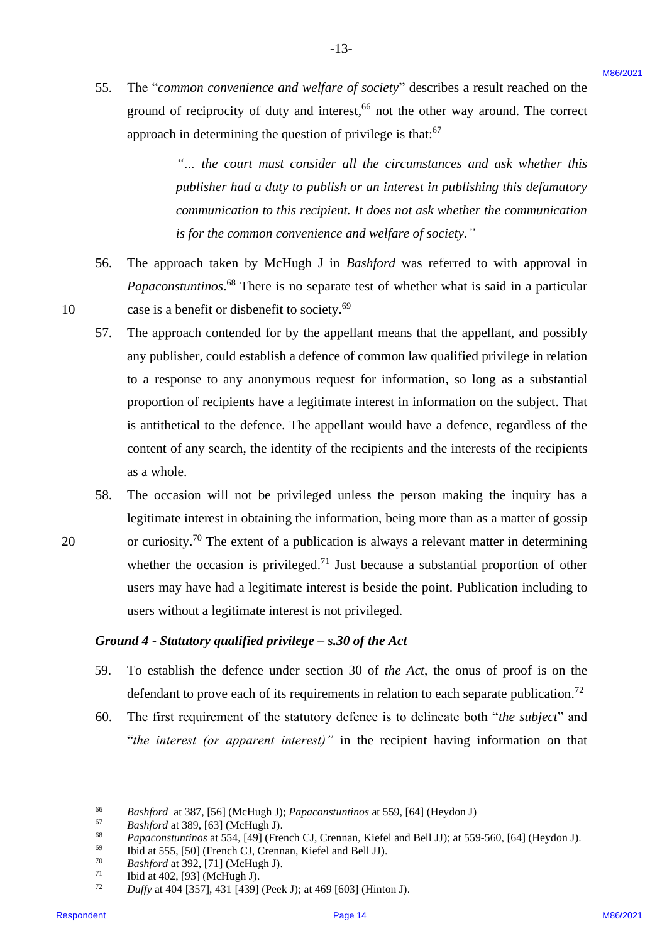55. The "*common convenience and welfare of society*" describes a result reached on the ground of reciprocity of duty and interest,<sup>66</sup> not the other way around. The correct approach in determining the question of privilege is that:<sup>67</sup> 55.

-13- -13-

"... the court must consider all the circumstances and ask whether this *publisher had a duty to publish or an interest in publishing this defamatory*  publisher had a duty to publish or an interest in publishing this defamatory communication to this recipient. It does not ask whether the communication is for the common convenience and welfare of society."

- 56. The approach taken by McHugh J in *Bashford* was referred to with approval in *Papaconstuntinos*. <sup>68</sup> There is no separate test of whether what is said in a particular Papaconstuntinos.® There is no separate test of whether what is said in <sup>a</sup> particular 10 case is a benefit or disbenefit to society.<sup>69</sup> 56.
- 57. The approach contended for by the appellant means that the appellant, and possibly any publisher, could establish a defence of common law qualified privilege in relation any publisher, could establish <sup>a</sup> defence of common law qualified privilege in relation to a response to any anonymous request for information, so long as a substantial to a response to any anonymous request for information, so long as a substantial proportion of recipients have a legitimate interest in information on the subject. That proportion of recipients have <sup>a</sup> legitimate interest in information on the subject. That is antithetical to the defence. The appellant would have a defence, regardless of the is antithetical to the defence. The appellant would have <sup>a</sup> defence, regardless of the content of any search, the identity of the recipients and the interests of the recipients content of any search, the identity of the recipients and the interests of the recipients as a whole. as <sup>a</sup> whole. 55. The "common conventione and welfare of pociety" describes a result reached on the pound of receivers) of any and interests " not the convention of the policies of the policies of the series approach in determining the 57.
- 58. The occasion will not be privileged unless the person making the inquiry has a The occasion will not be privileged unless the person making the inquiry has <sup>a</sup> legitimate interest in obtaining the information, being more than as a matter of gossip legitimate interest in obtaining the information, being more than as a matter of gossip 20 or curiosity.<sup>70</sup> The extent of a publication is always a relevant matter in determining whether the occasion is privileged.<sup>71</sup> Just because a substantial proportion of other users may have had a legitimate interest is beside the point. Publication including to users may have hada legitimate interest is beside the point. Publication including to users without a legitimate interest is not privileged. users without <sup>a</sup> legitimate interest is not privileged. 58.

#### Ground 4 - Statutory qualified privilege – s.30 of the Act

- 59. To establish the defence under section 30 of *the Act*, the onus of proof is on the To establish the defence under section 30 of the Act, the onus of proof is on the defendant to prove each of its requirements in relation to each separate publication.<sup>72</sup> 59.
- 60. The first requirement of the statutory defence is to delineate both "*the subject*" and The first requirement of the statutory defence is to delineate both "the subject' and "*the interest (or apparent interest)"* in the recipient having information on that "the interest (or apparent interest)" in the recipient having information on that 60.

20

<sup>66</sup> *Bashford* at 387, [56] (McHugh J); *Papaconstuntinos* at 559, [64] (Heydon J) Bashford at 387, [56] (McHugh J); Papaconstuntinos at 559, [64] (Heydon J) 66

<sup>67</sup> *Bashford* at 389, [63] (McHugh J). Bashfordat 389, [63] (McHugh J). 67

<sup>68</sup> *Papaconstuntinos* at 554, [49] (French CJ, Crennan, Kiefel and Bell JJ); at 559-560, [64] (Heydon J). Papaconstuntinos at554, [49] (French CJ, Crennan, Kiefel and Bell JJ); at 559-560, [64] (Heydon J). 68

<sup>69</sup> Ibid at 555, [50] (French CJ, Crennan, Kiefel and Bell JJ). Ibid at 555, [50] (French CJ, Crennan, Kiefel and Bell JJ). 69

<sup>70</sup> *Bashford* at 392, [71] (McHugh J). Bashfordat 392, [71] (McHugh J). 70

 $71$  Ibid at 402, [93] (McHugh J). 71

 $72$  *Duffy* at 404 [357], 431 [439] (Peek J); at 469 [603] (Hinton J). 72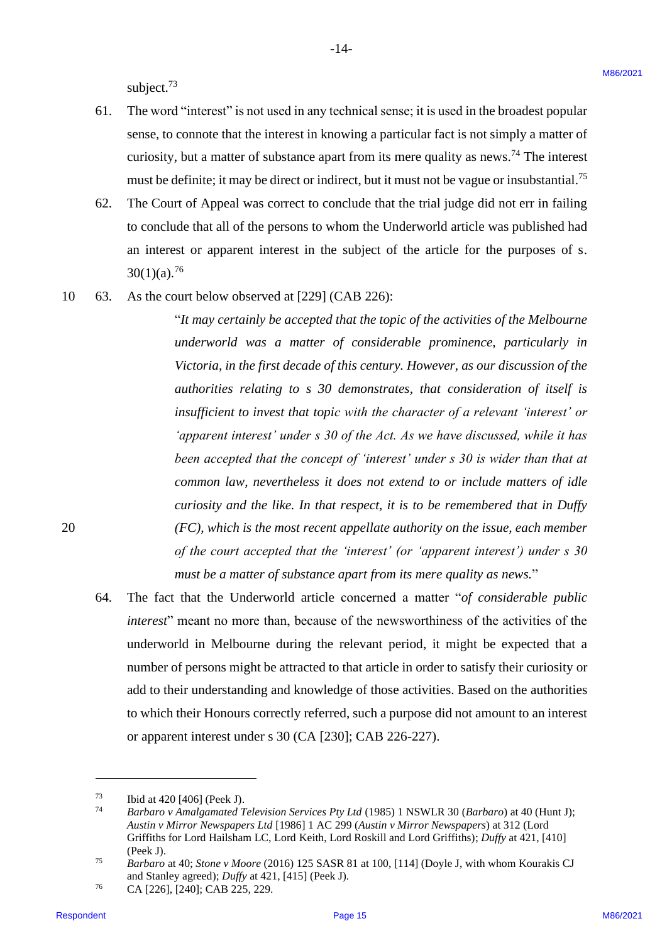subject.<sup>73</sup>

61. The word "interest" is not used in any technical sense; it is used in the broadest popular 61. The word "interest" is not used in any technical sense; it is used in the broadest popular sense, to connote that the interest in knowing a particular fact is not simply a matter of sense, to connote that the interest in knowinga particular fact is not simply <sup>a</sup> matter of curiosity, but a matter of substance apart from its mere quality as news.<sup>74</sup> The interest must be definite; it may be direct or indirect, but it must not be vague or insubstantial. 75 must be definite; it may be direct or indirect, but it must not be vague or insubstantial.'

-14- -14-

- 62. The Court of Appeal was correct to conclude that the trial judge did not err in failing 62. The Court of Appeal was correct to conclude that the trial judge did not err in failing to conclude that all of the persons to whom the Underworld article was published had to conclude that all of the persons to whom the Underworld article was published had an interest or apparent interest in the subject of the article for the purposes of s. an interest or apparent interest in the subject of the article for the purposes of s.  $30(1)(a).^{76}$
- 10 63. As the court below observed at [229] (CAB 226): 10 63. As the court below observed at [229] (CAB 226):

"*It may certainly be accepted that the topic of the activities of the Melbourne*  "Tt may certainly be accepted that the topic of the activities oftheMelbourne *underworld was a matter of considerable prominence, particularly in*  underworld was a matter of considerable prominence, particularly in Victoria, in the first decade of this century. However, as our discussion of the *authorities relating to s 30 demonstrates, that consideration of itself is*  authorities relating to s 30 demonstrates, that consideration of itself is *insufficient to invest that topic with the character of a relevant 'interest' or*  insufficient to invest that topic with the character of a relevant 'interest' or *'apparent interest' under s 30 of the Act. As we have discussed, while it has*  'apparent interest' under s 30 of the Act. As we have discussed, while it has been accepted that the concept of 'interest' under s 30 is wider than that at common law, nevertheless it does not extend to or include matters of idle *curiosity and the like. In that respect, it is to be remembered that in Duffy*  curiosity and the like. In that respect, it is to be remembered that in Duffy 20 *(FC), which is the most recent appellate authority on the issue, each member*  20 (FC), which is the most recent appellate authority on the issue, each member *of the court accepted that the 'interest' (or 'apparent interest') under s 30*  of the court accepted that the 'interest' (or 'apparent interest') under s 30 must be a matter of substance apart from its mere quality as news." subject."<br>
Subject."<br>
All the solution can be the interest in locating a particular that the state popular<br>
series, connect that the interest in locating a particular fact is not simply a matter of<br>
cannotic of similar of

64. The fact that the Underworld article concerned a matter "*of considerable public*  64. The fact that the Underworld article concerned a matter "of considerable public interest" meant no more than, because of the newsworthiness of the activities of the underworld in Melbourne during the relevant period, it might be expected that a underworld in Melbourne during the relevant period, it might be expected that <sup>a</sup> number of persons might be attracted to that article in order to satisfy their curiosity or number of persons might be attracted to that article in order to satisfy their curiosity or add to their understanding and knowledge of those activities. Based on the authorities add to their understanding and knowledge of those activities. Based on the authorities to which their Honours correctly referred, such a purpose did not amount to an interest to which their Honours correctly referred, such <sup>a</sup> purpose did not amount to an interest or apparent interest under s 30 (CA [230]; CAB 226-227). or apparent interest under <sup>s</sup> 30 (CA [230]; CAB 226-227).

 $73$  Ibid at 420 [406] (Peek J).

<sup>74</sup> *Barbaro v Amalgamated Television Services Pty Ltd* (1985) 1 NSWLR 30 (*Barbaro*) at 40 (Hunt J); Barbaro v Amalgamated Television Services Pty Ltd (1985) 1 NSWLR 30 (Barbaro) at 40 (Hunt J); *Austin v Mirror Newspapers Ltd* [1986] 1 AC 299 (*Austin v Mirror Newspapers*) at 312 (Lord Austin v Mirror Newspapers Ltd [1986] 1AC 299 (Austin vMirror Newspapers) at 312 (Lord Griffiths for Lord Hailsham LC, Lord Keith, Lord Roskill and Lord Griffiths); *Duffy* at 421, [410] (Peek J). (Peek J).

<sup>&</sup>lt;sup>75</sup> *Barbaro* at 40; *Stone v Moore* (2016) 125 SASR 81 at 100, [114] (Doyle J, with whom Kourakis CJ and Stanley agreed); *Duffy* at 421, [415] (Peek J). and Stanley agreed); Duffyat 421, [415] (Peek J).

<sup>76</sup> CA [226], [240]; CAB 225, 229. <sup>76</sup> CA [226], [240]; CAB 225, 229.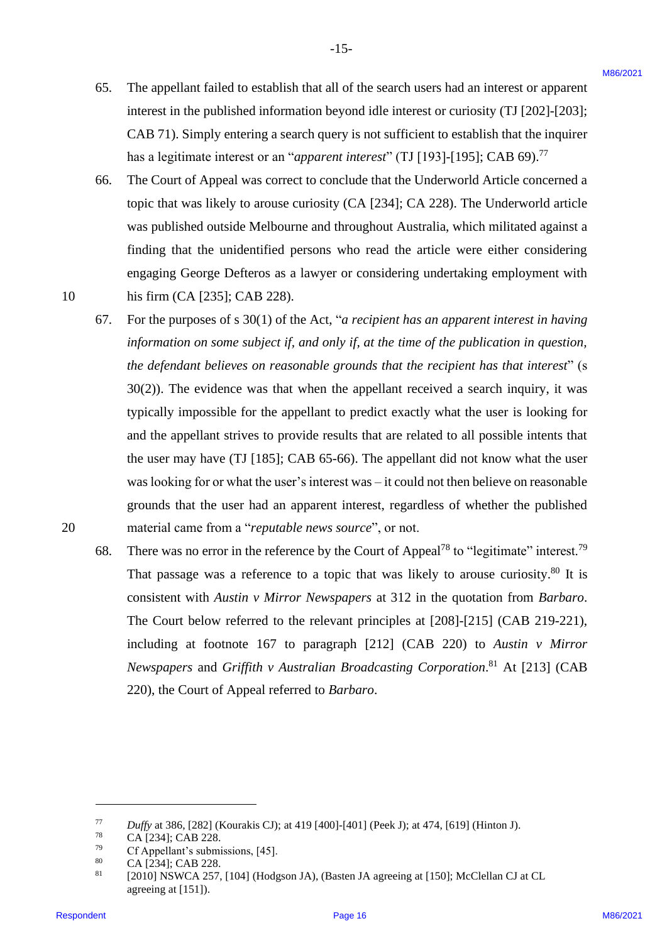65. The appellant failed to establish that all of the search users had an interest or apparent The appellant failed to establish that all of the searchusers had an interest or apparent interest in the published information beyond idle interest or curiosity (TJ [202]-[203]; interest in the published information beyond idle interest or curiosity (TJ [202]-[203]; CAB 71). Simply entering a search query is not sufficient to establish that the inquirer CAB 71). Simply entering <sup>a</sup> search query is not sufficient to establish that the inquirer has a legitimate interest or an "*apparent interest*" (TJ [193]-[195]; CAB 69). 77 has <sup>a</sup> legitimate interest or an "apparent interest" (TJ [193]-[195]; CAB 69)."' 65.

-15- -15-

- 66. The Court of Appeal was correct to conclude that the Underworld Article concerned a The Court of Appeal was correct to conclude that the Underworld Article concerned <sup>a</sup> topic that was likely to arouse curiosity (CA [234]; CA 228). The Underworld article topic that was likely to arouse curiosity (CA [234]; CA 228). The Underworld article was published outside Melbourne and throughout Australia, which militated against a was published outside Melbourne and throughout Australia, which militated against <sup>a</sup> finding that the unidentified persons who read the article were either considering finding that the unidentified persons who read the article were either considering engaging George Defteros as a lawyer or considering undertaking employment with engaging George Defteros as a lawyer or considering undertaking employment with 10 his firm (CA [235]; CAB 228). his firm (CA [235]; CAB 228). 66.
- 67. For the purposes of s 30(1) of the Act, "*a recipient has an apparent interest in having*  For the purposes of <sup>s</sup> 30(1) of the Act, "a recipient has an apparent interest in having *information on some subject if, and only if, at the time of the publication in question,*  information on some subject if, and only if, at the time of the publication in question, *the defendant believes on reasonable grounds that the recipient has that interest*" (s the defendant believes on reasonable grounds that the recipient has that interest" (s 30(2)). The evidence was that when the appellant received a search inquiry, it was 30(2)). The evidence was that when the appellant received <sup>a</sup> search inquiry, it was typically impossible for the appellant to predict exactly what the user is looking for typically impossible for the appellant to predict exactly what the user is looking for and the appellant strives to provide results that are related to all possible intents that and the appellant strives to provide results that are related to all possible intents that the user may have (TJ [185]; CAB 65-66). The appellant did not know what the user the user may have (TJ [185]; CAB 65-66). The appellant did not know what the user was looking for or what the user's interest was – it could not then believe on reasonable was looking for or what the user's interest was — it could not then believe on reasonable grounds that the user had an apparent interest, regardless of whether the published grounds that the user had an apparent interest, regardless of whether the published 20 material came from a "*reputable news source*", or not. material came from <sup>a</sup> "reputable news source', or not. 65. The appellant finited to establish that all of the search users had an interest or apparent interest.<br>
interest in the political information beyond informed by the line of the film of the search of the film of the sea 67.
	- 68. There was no error in the reference by the Court of Appeal<sup>78</sup> to "legitimate" interest.<sup>79</sup> That passage was a reference to a topic that was likely to arouse curiosity.<sup>80</sup> It is consistent with *Austin v Mirror Newspapers* at 312 in the quotation from *Barbaro*. consistent with Austin v Mirror Newspapers at 312 in the quotation from Barbaro. The Court below referred to the relevant principles at [208]-[215] (CAB 219-221), including at footnote 167 to paragraph [212] (CAB 220) to *Austin v Mirror*  including at footnote 167 to paragraph [212] (CAB 220) to Austin v Mirror *Newspapers* and *Griffith v Australian Broadcasting Corporation*. <sup>81</sup> At [213] (CAB Newspapers and Griffith v Australian Broadcasting Corporation.®' At [213] (CAB 220), the Court of Appeal referred to *Barbaro*. 220), the Court of Appeal referred to Barbaro. 68.

 $77$  Duffy at 386, [282] (Kourakis CJ); at 419 [400]-[401] (Peek J); at 474, [619] (Hinton J). 77

<sup>78</sup> CA [234]; CAB 228. CA [234]; CAB 228. 78

<sup>79</sup> Cf Appellant's submissions, [45]. Cf Appellant's submissions, [45]. 79

<sup>80</sup> CA [234]; CAB 228. CA [234]; CAB 228. 80

<sup>81</sup> [2010] NSWCA 257, [104] (Hodgson JA), (Basten JA agreeing at [150]; McClellan CJ at CL [2010] NSWCA 257, [104] (Hodgson JA), (Basten JA agreeing at [150]; McClellan CJ at CL agreeing at [151]). agreeing at [151]). 81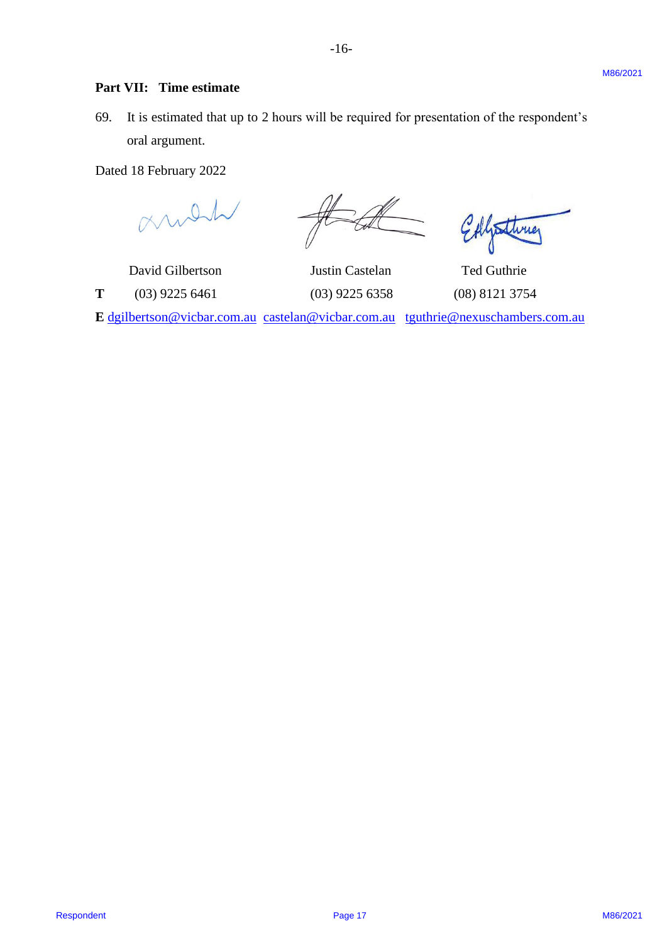### **Part VII: Time estimate** Part VII: Time estimate

69. It is estimated that up to 2 hours will be required for presentation of the respondent's 69. It is estimated that up to <sup>2</sup> hours will be required for presentation of the respondent's oral argument. oral argument. **Part VII:** Time cotinuate<br>
(0). It is existented that up to 2 hours will be explained for presentation of the respondent's<br>
(2) The contract Magnetics Contract Magnetics (2021 Page 17)<br>  $\frac{1}{\sqrt{1-\sqrt{1-\sqrt{1-\sqrt{1-\sqrt{1-\sqrt{1-\sqrt{1$ 

Dated 18 February 2022 Dated 18 February 2022

 David Gilbertson Justin Castelan Ted Guthrie David Gilbertson Justin Castelan Ted Guthrie **E** [dgilbertson@vicbar.com.au](mailto:dgilbertson@vicbar.com.au) [castelan@vicbar.com.au](mailto:castelan@vicbar.com.au) [tguthrie@nexuschambers.com.au](mailto:tguthrie@nexuschambers.com.au) E dgilbertson@vicbar.com.au castelan@vicbar.com.au tguthrie@nexuschambers.com.au

**T** (03) 9225 6461 (03) 9225 6358 (08) 8121 3754 T (03) 9225 6461 (03) 9225 6358 (08) 8121 3754